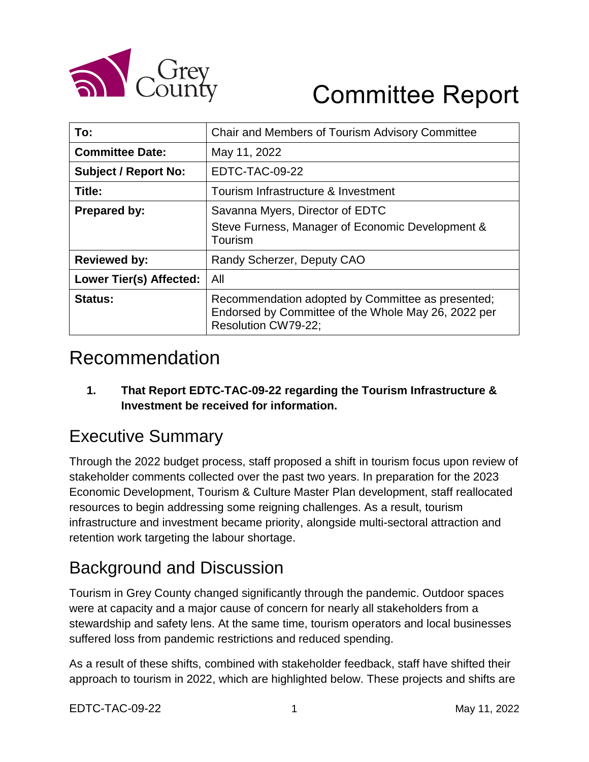

# Committee Report

| To:                            | Chair and Members of Tourism Advisory Committee                                                                                 |
|--------------------------------|---------------------------------------------------------------------------------------------------------------------------------|
| <b>Committee Date:</b>         | May 11, 2022                                                                                                                    |
| <b>Subject / Report No:</b>    | EDTC-TAC-09-22                                                                                                                  |
| Title:                         | Tourism Infrastructure & Investment                                                                                             |
| <b>Prepared by:</b>            | Savanna Myers, Director of EDTC<br>Steve Furness, Manager of Economic Development &<br>Tourism                                  |
| <b>Reviewed by:</b>            | Randy Scherzer, Deputy CAO                                                                                                      |
| <b>Lower Tier(s) Affected:</b> | All                                                                                                                             |
| <b>Status:</b>                 | Recommendation adopted by Committee as presented;<br>Endorsed by Committee of the Whole May 26, 2022 per<br>Resolution CW79-22; |

### Recommendation

**1. That Report EDTC-TAC-09-22 regarding the Tourism Infrastructure & Investment be received for information.**

### Executive Summary

Through the 2022 budget process, staff proposed a shift in tourism focus upon review of stakeholder comments collected over the past two years. In preparation for the 2023 Economic Development, Tourism & Culture Master Plan development, staff reallocated resources to begin addressing some reigning challenges. As a result, tourism infrastructure and investment became priority, alongside multi-sectoral attraction and retention work targeting the labour shortage.

## Background and Discussion

Tourism in Grey County changed significantly through the pandemic. Outdoor spaces were at capacity and a major cause of concern for nearly all stakeholders from a stewardship and safety lens. At the same time, tourism operators and local businesses suffered loss from pandemic restrictions and reduced spending.

As a result of these shifts, combined with stakeholder feedback, staff have shifted their approach to tourism in 2022, which are highlighted below. These projects and shifts are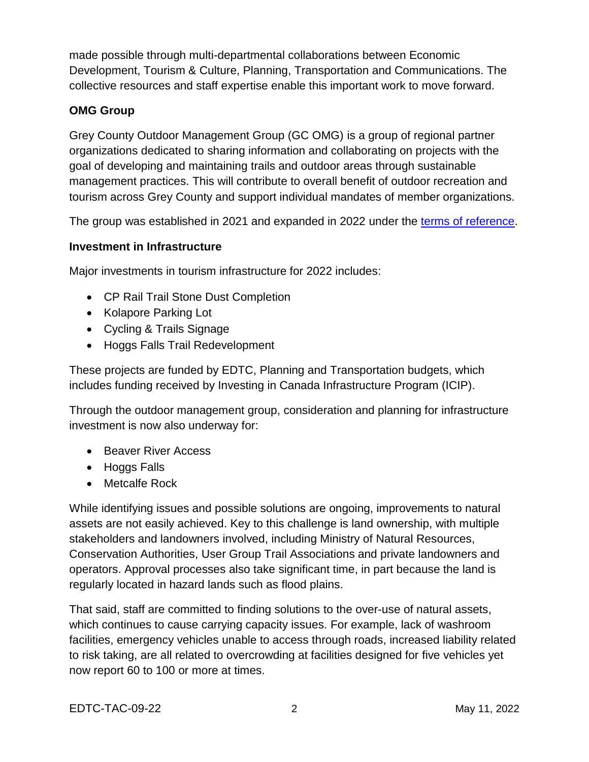made possible through multi-departmental collaborations between Economic Development, Tourism & Culture, Planning, Transportation and Communications. The collective resources and staff expertise enable this important work to move forward.

#### **OMG Group**

Grey County Outdoor Management Group (GC OMG) is a group of regional partner organizations dedicated to sharing information and collaborating on projects with the goal of developing and maintaining trails and outdoor areas through sustainable management practices. This will contribute to overall benefit of outdoor recreation and tourism across Grey County and support individual mandates of member organizations.

The group was established in 2021 and expanded in 2022 under the [terms of reference.](https://docs.grey.ca/share/public?nodeRef=workspace://SpacesStore/4484600b-018b-4c6e-8d7a-3cb44d4bc68c)

#### **Investment in Infrastructure**

Major investments in tourism infrastructure for 2022 includes:

- CP Rail Trail Stone Dust Completion
- Kolapore Parking Lot
- Cycling & Trails Signage
- Hoggs Falls Trail Redevelopment

These projects are funded by EDTC, Planning and Transportation budgets, which includes funding received by Investing in Canada Infrastructure Program (ICIP).

Through the outdoor management group, consideration and planning for infrastructure investment is now also underway for:

- Beaver River Access
- Hoggs Falls
- Metcalfe Rock

While identifying issues and possible solutions are ongoing, improvements to natural assets are not easily achieved. Key to this challenge is land ownership, with multiple stakeholders and landowners involved, including Ministry of Natural Resources, Conservation Authorities, User Group Trail Associations and private landowners and operators. Approval processes also take significant time, in part because the land is regularly located in hazard lands such as flood plains.

That said, staff are committed to finding solutions to the over-use of natural assets, which continues to cause carrying capacity issues. For example, lack of washroom facilities, emergency vehicles unable to access through roads, increased liability related to risk taking, are all related to overcrowding at facilities designed for five vehicles yet now report 60 to 100 or more at times.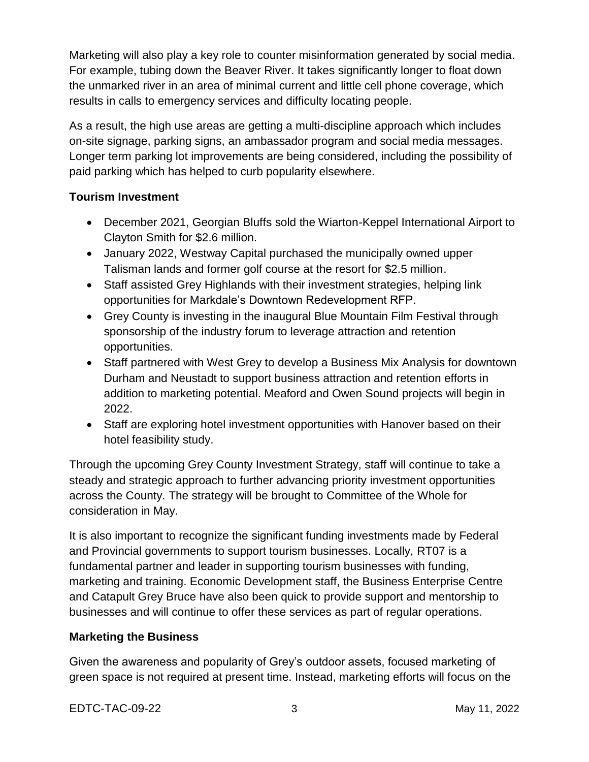Marketing will also play a key role to counter misinformation generated by social media. For example, tubing down the Beaver River. It takes significantly longer to float down the unmarked river in an area of minimal current and little cell phone coverage, which results in calls to emergency services and difficulty locating people.

As a result, the high use areas are getting a multi-discipline approach which includes on-site signage, parking signs, an ambassador program and social media messages. Longer term parking lot improvements are being considered, including the possibility of paid parking which has helped to curb popularity elsewhere.

#### **Tourism Investment**

- December 2021, Georgian Bluffs sold the Wiarton-Keppel International Airport to Clayton Smith for \$2.6 million.
- January 2022, Westway Capital purchased the municipally owned upper Talisman lands and former golf course at the resort for \$2.5 million.
- Staff assisted Grey Highlands with their investment strategies, helping link opportunities for Markdale's Downtown Redevelopment RFP.
- Grey County is investing in the inaugural Blue Mountain Film Festival through sponsorship of the industry forum to leverage attraction and retention opportunities.
- Staff partnered with West Grey to develop a Business Mix Analysis for downtown Durham and Neustadt to support business attraction and retention efforts in addition to marketing potential. Meaford and Owen Sound projects will begin in 2022.
- Staff are exploring hotel investment opportunities with Hanover based on their hotel feasibility study.

Through the upcoming Grey County Investment Strategy, staff will continue to take a steady and strategic approach to further advancing priority investment opportunities across the County. The strategy will be brought to Committee of the Whole for consideration in May.

It is also important to recognize the significant funding investments made by Federal and Provincial governments to support tourism businesses. Locally, RT07 is a fundamental partner and leader in supporting tourism businesses with funding, marketing and training. Economic Development staff, the Business Enterprise Centre and Catapult Grey Bruce have also been quick to provide support and mentorship to businesses and will continue to offer these services as part of regular operations.

#### **Marketing the Business**

Given the awareness and popularity of Grey's outdoor assets, focused marketing of green space is not required at present time. Instead, marketing efforts will focus on the

EDTC-TAC-09-22 3 May 11, 2022